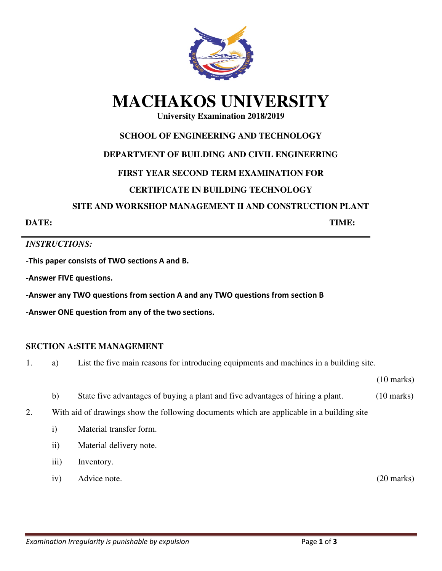

# **MACHAKOS UNIVERSITY**

# **University Examination 2018/2019**

## **SCHOOL OF ENGINEERING AND TECHNOLOGY**

## **DEPARTMENT OF BUILDING AND CIVIL ENGINEERING**

# **FIRST YEAR SECOND TERM EXAMINATION FOR**

# **CERTIFICATE IN BUILDING TECHNOLOGY**

#### **SITE AND WORKSHOP MANAGEMENT II AND CONSTRUCTION PLANT**

**DATE: TIME:** 

## *INSTRUCTIONS:*

**-This paper consists of TWO sections A and B.** 

**-Answer FIVE questions.** 

**-Answer any TWO questions from section A and any TWO questions from section B** 

**-Answer ONE question from any of the two sections.** 

## **SECTION A:SITE MANAGEMENT**

1. a) List the five main reasons for introducing equipments and machines in a building site.

(10 marks)

- b) State five advantages of buying a plant and five advantages of hiring a plant. (10 marks)
- 2. With aid of drawings show the following documents which are applicable in a building site
	- i) Material transfer form.
	- ii) Material delivery note.
	- iii) Inventory.
	- iv) Advice note. (20 marks)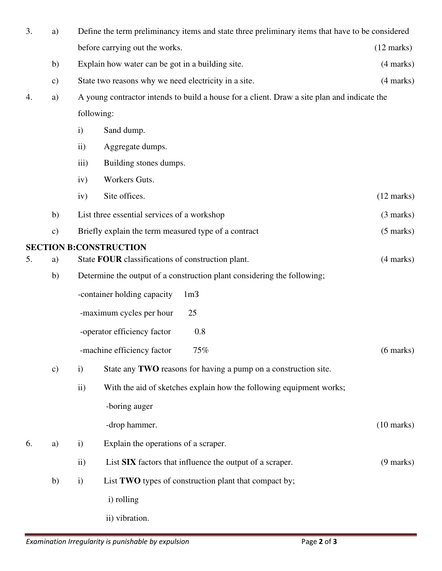| 3. | a)            | Define the term preliminancy items and state three preliminary items that have to be considered |                                                                     |                      |  |  |
|----|---------------|-------------------------------------------------------------------------------------------------|---------------------------------------------------------------------|----------------------|--|--|
|    |               |                                                                                                 | before carrying out the works.                                      | $(12 \text{ marks})$ |  |  |
|    | b)            | Explain how water can be got in a building site.                                                | $(4 \text{ marks})$                                                 |                      |  |  |
|    | $\mathbf{c})$ | State two reasons why we need electricity in a site.                                            |                                                                     |                      |  |  |
| 4. | a)            | A young contractor intends to build a house for a client. Draw a site plan and indicate the     |                                                                     |                      |  |  |
|    |               | following:                                                                                      |                                                                     |                      |  |  |
|    |               | $\mathbf{i}$                                                                                    | Sand dump.                                                          |                      |  |  |
|    |               | $\ddot{\mathbf{i}}$                                                                             | Aggregate dumps.                                                    |                      |  |  |
|    |               | $\overline{iii}$                                                                                | Building stones dumps.                                              |                      |  |  |
|    |               | iv)                                                                                             | Workers Guts.                                                       |                      |  |  |
|    |               | iv)                                                                                             | Site offices.                                                       | $(12 \text{ marks})$ |  |  |
|    | b)            | List three essential services of a workshop<br>$(3 \text{ marks})$                              |                                                                     |                      |  |  |
|    | $\mathbf{c})$ | Briefly explain the term measured type of a contract<br>$(5 \text{ marks})$                     |                                                                     |                      |  |  |
|    |               | <b>SECTION B:CONSTRUCTION</b><br>$(4 \text{ marks})$                                            |                                                                     |                      |  |  |
| 5. | a)            | State FOUR classifications of construction plant.                                               |                                                                     |                      |  |  |
|    | b)            | Determine the output of a construction plant considering the following;                         |                                                                     |                      |  |  |
|    |               | -container holding capacity<br>1 <sub>m3</sub>                                                  |                                                                     |                      |  |  |
|    |               | 25<br>-maximum cycles per hour                                                                  |                                                                     |                      |  |  |
|    |               | 0.8<br>-operator efficiency factor                                                              |                                                                     |                      |  |  |
|    |               |                                                                                                 | -machine efficiency factor<br>75%                                   | $(6 \text{ marks})$  |  |  |
|    | $\mathbf{c})$ | $\mathbf{i}$                                                                                    | State any TWO reasons for having a pump on a construction site.     |                      |  |  |
|    |               | $\mathbf{ii}$                                                                                   | With the aid of sketches explain how the following equipment works; |                      |  |  |
|    |               |                                                                                                 | -boring auger                                                       |                      |  |  |
|    |               |                                                                                                 | -drop hammer.                                                       | $(10 \text{ marks})$ |  |  |
| 6. | a)            | $\mathbf{i}$                                                                                    | Explain the operations of a scraper.                                |                      |  |  |
|    |               | $\rm ii)$                                                                                       | List SIX factors that influence the output of a scraper.            | $(9 \text{ marks})$  |  |  |
|    | b)            | $\mathbf{i}$                                                                                    | List TWO types of construction plant that compact by;               |                      |  |  |
|    |               |                                                                                                 | i) rolling                                                          |                      |  |  |
|    |               |                                                                                                 | ii) vibration.                                                      |                      |  |  |